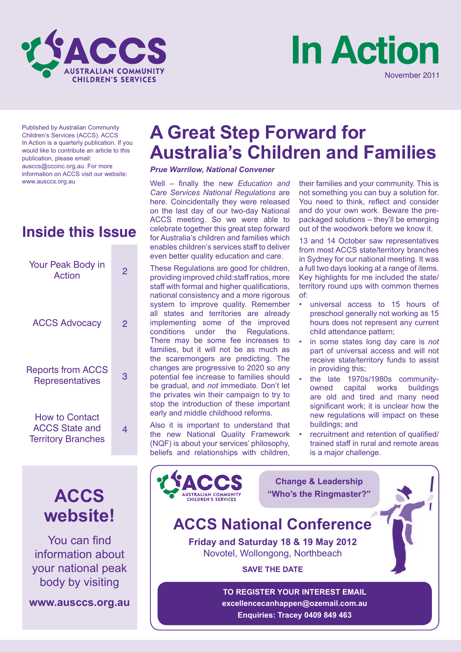



Published by Australian Community Children's Services (ACCS). ACCS In Action is a quarterly publication. If you would like to contribute an article to this publication, please email: ausccs@cccinc.org.au. For more information on ACCS visit our website: www.ausccs.org.au

# **Inside this Issue**

| Your Peak Body in<br>Action                                                 | 2 |
|-----------------------------------------------------------------------------|---|
| <b>ACCS Advocacy</b>                                                        | 2 |
| <b>Reports from ACCS</b><br><b>Representatives</b>                          | З |
| <b>How to Contact</b><br><b>ACCS State and</b><br><b>Territory Branches</b> | 4 |



You can find information about your national peak body by visiting

**www.ausccs.org.au**

# **A Great Step Forward for Australia's Children and Families**

#### *Prue Warrilow, National Convener*

Well – finally the new *Education and Care Services National Regulations* are here. Coincidentally they were released on the last day of our two-day National ACCS meeting. So we were able to celebrate together this great step forward for Australia's children and families which enables children's services staff to deliver even better quality education and care.

These Regulations are good for children, providing improved child:staff ratios, more staff with formal and higher qualifications, national consistency and a more rigorous system to improve quality. Remember all states and territories are already implementing some of the improved conditions under the Regulations. There may be some fee increases to families, but it will not be as much as the scaremongers are predicting. The changes are progressive to 2020 so any potential fee increase to families should be gradual, and *not* immediate. Don't let the privates win their campaign to try to stop the introduction of these important early and middle childhood reforms.

Also it is important to understand that the new National Quality Framework (NQF) is about your services' philosophy, beliefs and relationships with children,

their families and your community. This is not something you can buy a solution for. You need to think, reflect and consider and do your own work. Beware the prepackaged solutions – they'll be emerging out of the woodwork before we know it.

13 and 14 October saw representatives from most ACCS state/territory branches in Sydney for our national meeting. It was a full two days looking at a range of items. Key highlights for me included the state/ territory round ups with common themes of:

- universal access to 15 hours of preschool generally not working as 15 hours does not represent any current child attendance pattern;
- in some states long day care is *not* part of universal access and will not receive state/territory funds to assist in providing this;
- the late 1970s/1980s communityowned capital works buildings are old and tired and many need significant work; it is unclear how the new regulations will impact on these buildings; and
- recruitment and retention of qualified/ trained staff in rural and remote areas is a major challenge.



**TO REGISTER YOUR INTEREST EMAIL excellencecanhappen@ozemail.com.au Enquiries: Tracey 0409 849 463**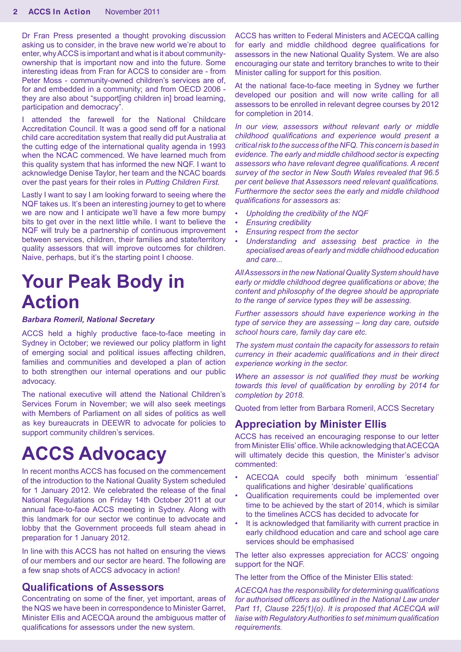Dr Fran Press presented a thought provoking discussion asking us to consider, in the brave new world we're about to enter, why ACCS is important and what is it about communityownership that is important now and into the future. Some interesting ideas from Fran for ACCS to consider are - from Peter Moss - community-owned children's services are of, for and embedded in a community; and from OECD 2006 they are also about "support[ing children in] broad learning, participation and democracy".

I attended the farewell for the National Childcare Accreditation Council. It was a good send off for a national child care accreditation system that really did put Australia at the cutting edge of the international quality agenda in 1993 when the NCAC commenced. We have learned much from this quality system that has informed the new NQF. I want to acknowledge Denise Taylor, her team and the NCAC boards over the past years for their roles in *Putting Children First.*

Lastly I want to say I am looking forward to seeing where the NQF takes us. It's been an interesting journey to get to where we are now and I anticipate we'll have a few more bumpy bits to get over in the next little while. I want to believe the NQF will truly be a partnership of continuous improvement between services, children, their families and state/territory quality assessors that will improve outcomes for children. Naive, perhaps, but it's the starting point I choose.

# **Your Peak Body in Action**

*Barbara Romeril, National Secretary*

ACCS held a highly productive face-to-face meeting in Sydney in October; we reviewed our policy platform in light of emerging social and political issues affecting children, families and communities and developed a plan of action to both strengthen our internal operations and our public advocacy.

The national executive will attend the National Children's Services Forum in November; we will also seek meetings with Members of Parliament on all sides of politics as well as key bureaucrats in DEEWR to advocate for policies to support community children's services.

# **ACCS Advocacy**

In recent months ACCS has focused on the commencement of the introduction to the National Quality System scheduled for 1 January 2012. We celebrated the release of the final National Regulations on Friday 14th October 2011 at our annual face-to-face ACCS meeting in Sydney. Along with this landmark for our sector we continue to advocate and lobby that the Government proceeds full steam ahead in preparation for 1 January 2012.

In line with this ACCS has not halted on ensuring the views of our members and our sector are heard. The following are a few snap shots of ACCS advocacy in action!

#### **Qualifications of Assessors**

Concentrating on some of the finer, yet important, areas of the NQS we have been in correspondence to Minister Garret, Minister Ellis and ACECQA around the ambiguous matter of qualifications for assessors under the new system.

ACCS has written to Federal Ministers and ACECQA calling for early and middle childhood degree qualifications for assessors in the new National Quality System. We are also encouraging our state and territory branches to write to their Minister calling for support for this position.

At the national face-to-face meeting in Sydney we further developed our position and will now write calling for all assessors to be enrolled in relevant degree courses by 2012 for completion in 2014.

*In our view, assessors without relevant early or middle childhood qualifications and experience would present a critical risk to the success of the NFQ. This concern is based in evidence. The early and middle childhood sector is expecting assessors who have relevant degree qualifications. A recent survey of the sector in New South Wales revealed that 96.5 per cent believe that Assessors need relevant qualifications. Furthermore the sector sees the early and middle childhood qualifications for assessors as:*

- *• Upholding the credibility of the NQF*
- *• Ensuring credibility*
- *• Ensuring respect from the sector*
- *• Understanding and assessing best practice in the specialised areas of early and middle childhood education and care...*

*All Assessors in the new National Quality System should have early or middle childhood degree qualifications or above; the content and philosophy of the degree should be appropriate to the range of service types they will be assessing.* 

*Further assessors should have experience working in the type of service they are assessing – long day care, outside school hours care, family day care etc.* 

*The system must contain the capacity for assessors to retain currency in their academic qualifications and in their direct experience working in the sector.*

*Where an assessor is not qualified they must be working towards this level of qualification by enrolling by 2014 for completion by 2018.*

Quoted from letter from Barbara Romeril, ACCS Secretary

### **Appreciation by Minister Ellis**

ACCS has received an encouraging response to our letter from Minister Ellis' office. While acknowledging that ACECQA will ultimately decide this question, the Minister's advisor commented:

- ACECQA could specify both minimum 'essential' qualifications and higher 'desirable' qualifications
- Qualification requirements could be implemented over time to be achieved by the start of 2014, which is similar to the timelines ACCS has decided to advocate for
- It is acknowledged that familiarity with current practice in early childhood education and care and school age care services should be emphasised

The letter also expresses appreciation for ACCS' ongoing support for the NQF.

The letter from the Office of the Minister Ellis stated:

*ACECQA has the responsibility for determining qualifications for authorised officers as outlined in the National Law under Part 11, Clause 225(1)(o). It is proposed that ACECQA will liaise with Regulatory Authorities to set minimum qualification requirements.*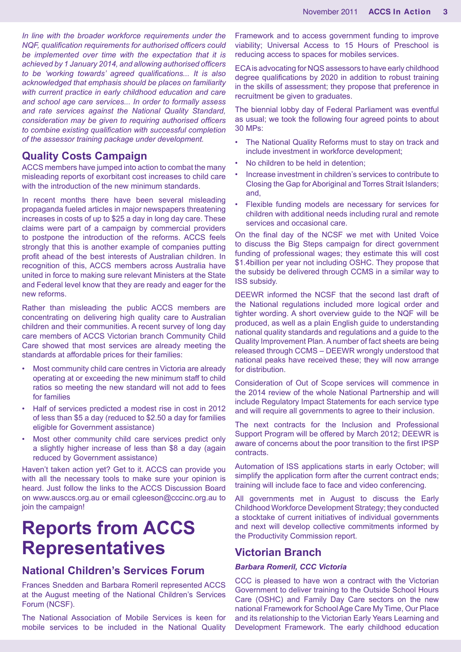*In line with the broader workforce requirements under the NQF, qualification requirements for authorised officers could be implemented over time with the expectation that it is achieved by 1 January 2014, and allowing authorised officers to be 'working towards' agreed qualifications... It is also acknowledged that emphasis should be places on familiarity with current practice in early childhood education and care and school age care services... In order to formally assess and rate services against the National Quality Standard, consideration may be given to requiring authorised officers to combine existing qualification with successful completion of the assessor training package under development.* 

## **Quality Costs Campaign**

ACCS members have jumped into action to combat the many misleading reports of exorbitant cost increases to child care with the introduction of the new minimum standards.

In recent months there have been several misleading propaganda fueled articles in major newspapers threatening increases in costs of up to \$25 a day in long day care. These claims were part of a campaign by commercial providers to postpone the introduction of the reforms. ACCS feels strongly that this is another example of companies putting profit ahead of the best interests of Australian children. In recognition of this, ACCS members across Australia have united in force to making sure relevant Ministers at the State and Federal level know that they are ready and eager for the new reforms.

Rather than misleading the public ACCS members are concentrating on delivering high quality care to Australian children and their communities. A recent survey of long day care members of ACCS Victorian branch Community Child Care showed that most services are already meeting the standards at affordable prices for their families:

- Most community child care centres in Victoria are already operating at or exceeding the new minimum staff to child ratios so meeting the new standard will not add to fees for families
- Half of services predicted a modest rise in cost in 2012 of less than \$5 a day (reduced to \$2.50 a day for families eligible for Government assistance)
- Most other community child care services predict only a slightly higher increase of less than \$8 a day (again reduced by Government assistance)

Haven't taken action yet? Get to it. ACCS can provide you with all the necessary tools to make sure your opinion is heard. Just follow the links to the ACCS Discussion Board on www.ausccs.org.au or email cgleeson@cccinc.org.au to join the campaign!

# **Reports from ACCS Representatives**

# **National Children's Services Forum**

Frances Snedden and Barbara Romeril represented ACCS at the August meeting of the National Children's Services Forum (NCSF).

The National Association of Mobile Services is keen for mobile services to be included in the National Quality

Framework and to access government funding to improve viability; Universal Access to 15 Hours of Preschool is reducing access to spaces for mobiles services.

ECA is advocating for NQS assessors to have early childhood degree qualifications by 2020 in addition to robust training in the skills of assessment; they propose that preference in recruitment be given to graduates.

The biennial lobby day of Federal Parliament was eventful as usual; we took the following four agreed points to about 30 MPs:

- The National Quality Reforms must to stay on track and include investment in workforce development;
- No children to be held in detention;
- Increase investment in children's services to contribute to Closing the Gap for Aboriginal and Torres Strait Islanders; and,
- Flexible funding models are necessary for services for children with additional needs including rural and remote services and occasional care.

On the final day of the NCSF we met with United Voice to discuss the Big Steps campaign for direct government funding of professional wages; they estimate this will cost \$1.4billion per year not including OSHC. They propose that the subsidy be delivered through CCMS in a similar way to ISS subsidy.

DEEWR informed the NCSF that the second last draft of the National regulations included more logical order and tighter wording. A short overview guide to the NQF will be produced, as well as a plain English guide to understanding national quality standards and regulations and a guide to the Quality Improvement Plan. A number of fact sheets are being released through CCMS – DEEWR wrongly understood that national peaks have received these; they will now arrange for distribution.

Consideration of Out of Scope services will commence in the 2014 review of the whole National Partnership and will include Regulatory Impact Statements for each service type and will require all governments to agree to their inclusion.

The next contracts for the Inclusion and Professional Support Program will be offered by March 2012; DEEWR is aware of concerns about the poor transition to the first IPSP contracts.

Automation of ISS applications starts in early October; will simplify the application form after the current contract ends; training will include face to face and video conferencing.

All governments met in August to discuss the Early Childhood Workforce Development Strategy; they conducted a stocktake of current initiatives of individual governments and next will develop collective commitments informed by the Productivity Commission report.

## **Victorian Branch**

#### *Barbara Romeril, CCC Victoria*

CCC is pleased to have won a contract with the Victorian Government to deliver training to the Outside School Hours Care (OSHC) and Family Day Care sectors on the new national Framework for School Age Care My Time, Our Place and its relationship to the Victorian Early Years Learning and Development Framework. The early childhood education